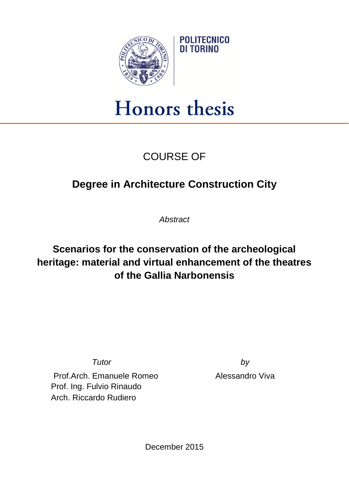

## Honors thesis

## COURSE OF

## **Degree in Architecture Construction City**

*Abstract*

## **Scenarios for the conservation of the archeological heritage: material and virtual enhancement of the theatres of the Gallia Narbonensis**

*Tutor by*

Prof.Arch. Emanuele Romeo Alessandro Viva Prof. Ing. Fulvio Rinaudo Arch. Riccardo Rudiero

December 2015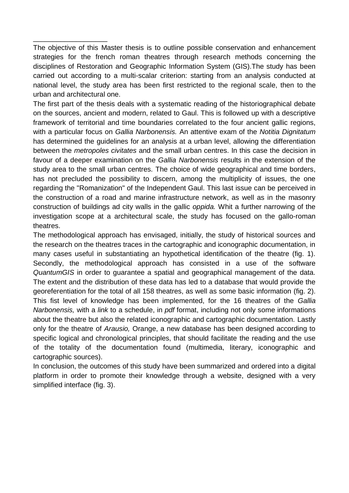The objective of this Master thesis is to outline possible conservation and enhancement strategies for the french roman theatres through research methods concerning the disciplines of Restoration and Geographic Information System (GIS).The study has been carried out according to a multi-scalar criterion: starting from an analysis conducted at national level, the study area has been first restricted to the regional scale, then to the urban and architectural one.

\_\_\_\_\_\_\_\_\_\_\_\_\_\_\_\_\_\_\_

The first part of the thesis deals with a systematic reading of the historiographical debate on the sources, ancient and modern, related to Gaul. This is followed up with a descriptive framework of territorial and time boundaries correlated to the four ancient gallic regions, with a particular focus on *Gallia Narbonensis.* An attentive exam of the *Notitia Dignitatum*  has determined the guidelines for an analysis at a urban level, allowing the differentiation between the *metropoles civitates* and the small urban centres. In this case the decision in favour of a deeper examination on the *Gallia Narbonensis* results in the extension of the study area to the small urban centres. The choice of wide geographical and time borders, has not precluded the possibility to discern, among the multiplicity of issues, the one regarding the "Romanization" of the Independent Gaul. This last issue can be perceived in the construction of a road and marine infrastructure network, as well as in the masonry construction of buildings ad city walls in the gallic *oppida.* Whit a further narrowing of the investigation scope at a architectural scale, the study has focused on the gallo-roman theatres.

The methodological approach has envisaged, initially, the study of historical sources and the research on the theatres traces in the cartographic and iconographic documentation, in many cases useful in substantiating an hypothetical identification of the theatre (fig. 1). Secondly, the methodological approach has consisted in a use of the software *QuantumGIS* in order to guarantee a spatial and geographical management of the data. The extent and the distribution of these data has led to a database that would provide the georeferentiation for the total of all 158 theatres, as well as some basic information (fig. 2). This fist level of knowledge has been implemented, for the 16 theatres of the *Gallia Narbonensis,* with a *link* to a schedule, in *pdf* format, including not only some informations about the theatre but also the related iconographic and cartographic documentation. Lastly only for the theatre of *Arausio,* Orange, a new database has been designed according to specific logical and chronological principles, that should facilitate the reading and the use of the totality of the documentation found (multimedia, literary, iconographic and cartographic sources).

In conclusion, the outcomes of this study have been summarized and ordered into a digital platform in order to promote their knowledge through a website, designed with a very simplified interface (fig. 3).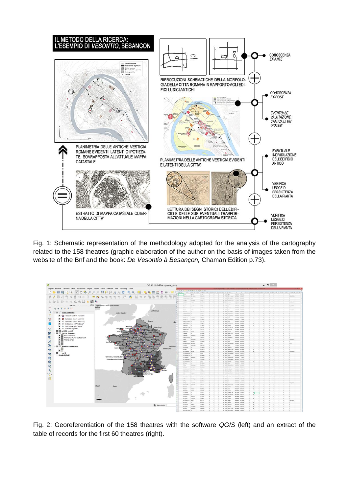

Fig. 1: Schematic representation of the methodology adopted for the analysis of the cartography related to the 158 theatres (graphic elaboration of the author on the basis of images taken from the website of the Bnf and the book: *De Vesontio à Besançon,* Chaman Edition p.73).



Fig. 2: Georeferentiation of the 158 theatres with the software *QGIS* (left) and an extract of the table of records for the first 60 theatres (right).